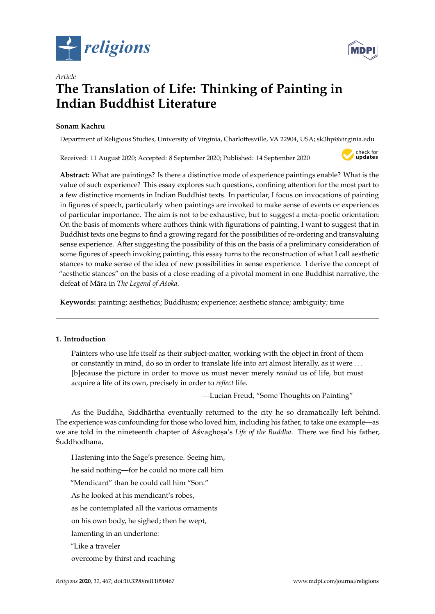



# *Article* **The Translation of Life: Thinking of Painting in Indian Buddhist Literature**

# **Sonam Kachru**

Department of Religious Studies, University of Virginia, Charlottesville, VA 22904, USA; sk3hp@virginia.edu

Received: 11 August 2020; Accepted: 8 September 2020; Published: 14 September 2020



**Abstract:** What are paintings? Is there a distinctive mode of experience paintings enable? What is the value of such experience? This essay explores such questions, confining attention for the most part to a few distinctive moments in Indian Buddhist texts. In particular, I focus on invocations of painting in figures of speech, particularly when paintings are invoked to make sense of events or experiences of particular importance. The aim is not to be exhaustive, but to suggest a meta-poetic orientation: On the basis of moments where authors think with figurations of painting, I want to suggest that in Buddhist texts one begins to find a growing regard for the possibilities of re-ordering and transvaluing sense experience. After suggesting the possibility of this on the basis of a preliminary consideration of some figures of speech invoking painting, this essay turns to the reconstruction of what I call aesthetic stances to make sense of the idea of new possibilities in sense experience. I derive the concept of "aesthetic stances" on the basis of a close reading of a pivotal moment in one Buddhist narrative, the defeat of Māra in The Legend of Aśoka.

**Keywords:** painting; aesthetics; Buddhism; experience; aesthetic stance; ambiguity; time

# **1. Introduction**

Painters who use life itself as their subject-matter, working with the object in front of them or constantly in mind, do so in order to translate life into art almost literally, as it were . . . [b]ecause the picture in order to move us must never merely *remind* us of life, but must acquire a life of its own, precisely in order to *reflect* life.

—Lucian Freud, "Some Thoughts on Painting"

As the Buddha, Siddhārtha eventually returned to the city he so dramatically left behind. The experience was confounding for those who loved him, including his father, to take one example—as we are told in the nineteenth chapter of Aśvaghoṣa's *Life of the Buddha*. There we find his father, Suddhodhana, ´

Hastening into the Sage's presence. Seeing him, he said nothing—for he could no more call him "Mendicant" than he could call him "Son." As he looked at his mendicant's robes, as he contemplated all the various ornaments on his own body, he sighed; then he wept, lamenting in an undertone: "Like a traveler overcome by thirst and reaching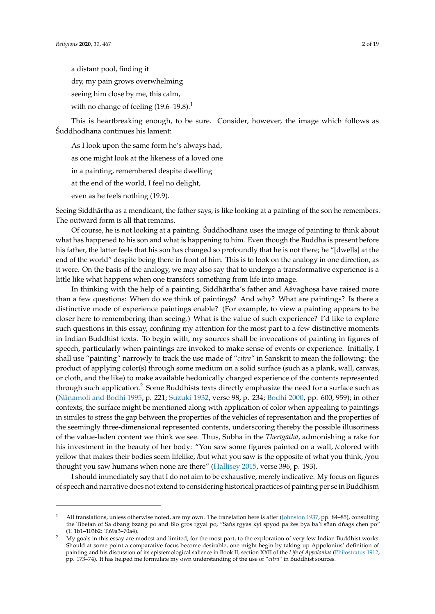a distant pool, finding it dry, my pain grows overwhelming seeing him close by me, this calm, with no change of feeling  $(19.6-19.8).$ <sup>1</sup>

This is heartbreaking enough, to be sure. Consider, however, the image which follows as Suddhodhana continues his lament: ´

As I look upon the same form he's always had, as one might look at the likeness of a loved one in a painting, remembered despite dwelling at the end of the world, I feel no delight, even as he feels nothing (19.9).

Seeing Siddhārtha as a mendicant, the father says, is like looking at a painting of the son he remembers. The outward form is all that remains.

Of course, he is not looking at a painting. Suddhodhana uses the image of painting to think about ´ what has happened to his son and what is happening to him. Even though the Buddha is present before his father, the latter feels that his son has changed so profoundly that he is not there; he "[dwells] at the end of the world" despite being there in front of him. This is to look on the analogy in one direction, as it were. On the basis of the analogy, we may also say that to undergo a transformative experience is a little like what happens when one transfers something from life into image.

In thinking with the help of a painting, Siddhārtha's father and Aśvaghoṣa have raised more than a few questions: When do we think of paintings? And why? What are paintings? Is there a distinctive mode of experience paintings enable? (For example, to view a painting appears to be closer here to remembering than seeing.) What is the value of such experience? I'd like to explore such questions in this essay, confining my attention for the most part to a few distinctive moments in Indian Buddhist texts. To begin with, my sources shall be invocations of painting in figures of speech, particularly when paintings are invoked to make sense of events or experience. Initially, I shall use "painting" narrowly to track the use made of "*citra*" in Sanskrit to mean the following: the product of applying color(s) through some medium on a solid surface (such as a plank, wall, canvas, or cloth, and the like) to make available hedonically charged experience of the contents represented through such application.<sup>2</sup> Some Buddhists texts directly emphasize the need for a surface such as (Nāṇ[amoli and Bodhi](#page-17-0) [1995,](#page-17-0) p. 221; [Suzuki](#page-17-1) [1932,](#page-17-1) verse 98, p. 234; [Bodhi](#page-16-0) [2000,](#page-16-0) pp. 600, 959); in other contexts, the surface might be mentioned along with application of color when appealing to paintings in similes to stress the gap between the properties of the vehicles of representation and the properties of the seemingly three-dimensional represented contents, underscoring thereby the possible illusoriness of the value-laden content we think we see. Thus, Subha in the *Therīgāthā*, admonishing a rake for his investment in the beauty of her body: "You saw some figures painted on a wall, /colored with yellow that makes their bodies seem lifelike, /but what you saw is the opposite of what you think, /you thought you saw humans when none are there" [\(Hallisey](#page-16-1) [2015,](#page-16-1) verse 396, p. 193).

I should immediately say that I do not aim to be exhaustive, merely indicative. My focus on figures of speech and narrative does not extend to considering historical practices of painting per se in Buddhism

<sup>&</sup>lt;sup>1</sup> All translations, unless otherwise noted, are my own. The translation here is after [\(Johnston](#page-16-2) [1937,](#page-16-2) pp. 84–85), consulting the Tibetan of Sa dbang bzang po and Blo gros rgyal po, "Sans rgyas kyi spyod pa źes bya ba'i sñan dnags chen po" (T. 1b1–103b2: T.69a3–70a4).

<sup>2</sup> My goals in this essay are modest and limited, for the most part, to the exploration of very few Indian Buddhist works. Should at some point a comparative focus become desirable, one might begin by taking up Appolonius' definition of painting and his discussion of its epistemological salience in Book II, section XXII of the *Life of Appolonius* [\(Philostratus](#page-17-2) [1912,](#page-17-2) pp. 173–74). It has helped me formulate my own understanding of the use of "*citra*" in Buddhist sources.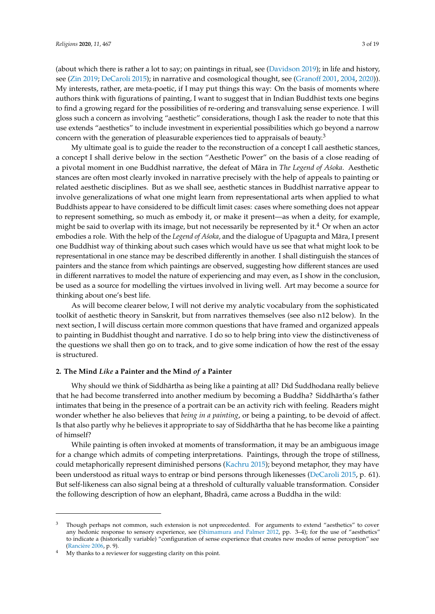(about which there is rather a lot to say; on paintings in ritual, see [\(Davidson](#page-16-3) [2019\)](#page-16-3); in life and history, see [\(Zin](#page-18-0) [2019;](#page-18-0) [DeCaroli](#page-16-4) [2015\)](#page-16-4); in narrative and cosmological thought, see [\(Grano](#page-16-5)ff [2001,](#page-16-5) [2004,](#page-16-6) [2020\)](#page-16-7)). My interests, rather, are meta-poetic, if I may put things this way: On the basis of moments where authors think with figurations of painting, I want to suggest that in Indian Buddhist texts one begins to find a growing regard for the possibilities of re-ordering and transvaluing sense experience. I will gloss such a concern as involving "aesthetic" considerations, though I ask the reader to note that this use extends "aesthetics" to include investment in experiential possibilities which go beyond a narrow concern with the generation of pleasurable experiences tied to appraisals of beauty.<sup>3</sup>

My ultimate goal is to guide the reader to the reconstruction of a concept I call aesthetic stances, a concept I shall derive below in the section "Aesthetic Power" on the basis of a close reading of a pivotal moment in one Buddhist narrative, the defeat of Māra in *The Legend of Asoka*. Aesthetic stances are often most clearly invoked in narrative precisely with the help of appeals to painting or related aesthetic disciplines. But as we shall see, aesthetic stances in Buddhist narrative appear to involve generalizations of what one might learn from representational arts when applied to what Buddhists appear to have considered to be difficult limit cases: cases where something does not appear to represent something, so much as embody it, or make it present—as when a deity, for example, might be said to overlap with its image, but not necessarily be represented by it.<sup>4</sup> Or when an actor embodies a role. With the help of the *Legend of A´soka*, and the dialogue of Upagupta and Mara, I present ¯ one Buddhist way of thinking about such cases which would have us see that what might look to be representational in one stance may be described differently in another. I shall distinguish the stances of painters and the stance from which paintings are observed, suggesting how different stances are used in different narratives to model the nature of experiencing and may even, as I show in the conclusion, be used as a source for modelling the virtues involved in living well. Art may become a source for thinking about one's best life.

As will become clearer below, I will not derive my analytic vocabulary from the sophisticated toolkit of aesthetic theory in Sanskrit, but from narratives themselves (see also n12 below). In the next section, I will discuss certain more common questions that have framed and organized appeals to painting in Buddhist thought and narrative. I do so to help bring into view the distinctiveness of the questions we shall then go on to track, and to give some indication of how the rest of the essay is structured.

## **2. The Mind** *Like* **a Painter and the Mind** *of* **a Painter**

Why should we think of Siddhārtha as being like a painting at all? Did Śuddhodana really believe that he had become transferred into another medium by becoming a Buddha? Siddhārtha's father intimates that being in the presence of a portrait can be an activity rich with feeling. Readers might wonder whether he also believes that *being in a painting*, or being a painting, to be devoid of affect. Is that also partly why he believes it appropriate to say of Siddhartha that he has become like a painting of himself?

While painting is often invoked at moments of transformation, it may be an ambiguous image for a change which admits of competing interpretations. Paintings, through the trope of stillness, could metaphorically represent diminished persons [\(Kachru](#page-16-8) [2015\)](#page-16-8); beyond metaphor, they may have been understood as ritual ways to entrap or bind persons through likenesses [\(DeCaroli](#page-16-4) [2015,](#page-16-4) p. 61). But self-likeness can also signal being at a threshold of culturally valuable transformation. Consider the following description of how an elephant, Bhadrā, came across a Buddha in the wild:

<sup>3</sup> Though perhaps not common, such extension is not unprecedented. For arguments to extend "aesthetics" to cover any hedonic response to sensory experience, see [\(Shimamura and Palmer](#page-17-3) [2012,](#page-17-3) pp. 3–4); for the use of "aesthetics" to indicate a (historically variable) "configuration of sense experience that creates new modes of sense perception" see [\(Ranci](#page-17-4)ère [2006,](#page-17-4) p. 9).

My thanks to a reviewer for suggesting clarity on this point.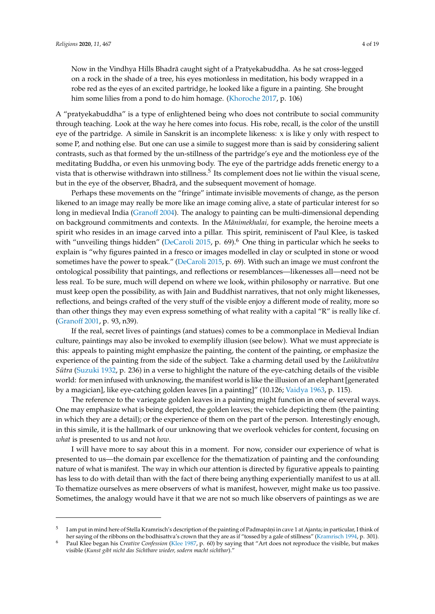Now in the Vindhya Hills Bhadra caught sight of a Pratyekabuddha. As he sat cross-legged ¯ on a rock in the shade of a tree, his eyes motionless in meditation, his body wrapped in a robe red as the eyes of an excited partridge, he looked like a figure in a painting. She brought him some lilies from a pond to do him homage. [\(Khoroche](#page-17-5) [2017,](#page-17-5) p. 106)

A "pratyekabuddha" is a type of enlightened being who does not contribute to social community through teaching. Look at the way he here comes into focus. His robe, recall, is the color of the unstill eye of the partridge. A simile in Sanskrit is an incomplete likeness: x is like y only with respect to some P, and nothing else. But one can use a simile to suggest more than is said by considering salient contrasts, such as that formed by the un-stillness of the partridge's eye and the motionless eye of the meditating Buddha, or even his unmoving body. The eye of the partridge adds frenetic energy to a vista that is otherwise withdrawn into stillness. $^5$  Its complement does not lie within the visual scene, but in the eye of the observer, Bhadrā, and the subsequent movement of homage.

Perhaps these movements on the "fringe" intimate invisible movements of change, as the person likened to an image may really be more like an image coming alive, a state of particular interest for so long in medieval India [\(Grano](#page-16-6)ff [2004\)](#page-16-6). The analogy to painting can be multi-dimensional depending on background commitments and contexts. In the *Mānimekhalai*, for example, the heroine meets a spirit who resides in an image carved into a pillar. This spirit, reminiscent of Paul Klee, is tasked with "unveiling things hidden" [\(DeCaroli](#page-16-4) [2015,](#page-16-4) p. 69).<sup>6</sup> One thing in particular which he seeks to explain is "why figures painted in a fresco or images modelled in clay or sculpted in stone or wood sometimes have the power to speak." [\(DeCaroli](#page-16-4) [2015,](#page-16-4) p. 69). With such an image we must confront the ontological possibility that paintings, and reflections or resemblances—likenesses all—need not be less real. To be sure, much will depend on where we look, within philosophy or narrative. But one must keep open the possibility, as with Jain and Buddhist narratives, that not only might likenesses, reflections, and beings crafted of the very stuff of the visible enjoy a different mode of reality, more so than other things they may even express something of what reality with a capital "R" is really like cf. [\(Grano](#page-16-5)ff [2001,](#page-16-5) p. 93, n39).

If the real, secret lives of paintings (and statues) comes to be a commonplace in Medieval Indian culture, paintings may also be invoked to exemplify illusion (see below). What we must appreciate is this: appeals to painting might emphasize the painting, the content of the painting, or emphasize the experience of the painting from the side of the subject. Take a charming detail used by the *Lankāvatāra Sūtra* [\(Suzuki](#page-17-1) [1932,](#page-17-1) p. 236) in a verse to highlight the nature of the eye-catching details of the visible world: for men infused with unknowing, the manifest world is like the illusion of an elephant [generated by a magician], like eye-catching golden leaves [in a painting]" (10.126; [Vaidya](#page-17-6) [1963,](#page-17-6) p. 115).

The reference to the variegate golden leaves in a painting might function in one of several ways. One may emphasize what is being depicted, the golden leaves; the vehicle depicting them (the painting in which they are a detail); or the experience of them on the part of the person. Interestingly enough, in this simile, it is the hallmark of our unknowing that we overlook vehicles for content, focusing on *what* is presented to us and not *how*.

I will have more to say about this in a moment. For now, consider our experience of what is presented to us—the domain par excellence for the thematization of painting and the confounding nature of what is manifest. The way in which our attention is directed by figurative appeals to painting has less to do with detail than with the fact of there being anything experientially manifest to us at all. To thematize ourselves as mere observers of what is manifest, however, might make us too passive. Sometimes, the analogy would have it that we are not so much like observers of paintings as we are

<sup>5</sup> I am put in mind here of Stella Kramrisch's description of the painting of Padmapāṇi in cave 1 at Ajanta; in particular, I think of her saying of the ribbons on the bodhisattva's crown that they are as if "tossed by a gale of stillness" [\(Kramrisch](#page-17-7) [1994,](#page-17-7) p. 301).

<sup>6</sup> Paul Klee began his *Creative Confession* [\(Klee](#page-17-8) [1987,](#page-17-8) p. 60) by saying that "Art does not reproduce the visible, but makes visible (*Kunst gibt nicht das Sichtbare wieder, sodern macht sichtbar*)."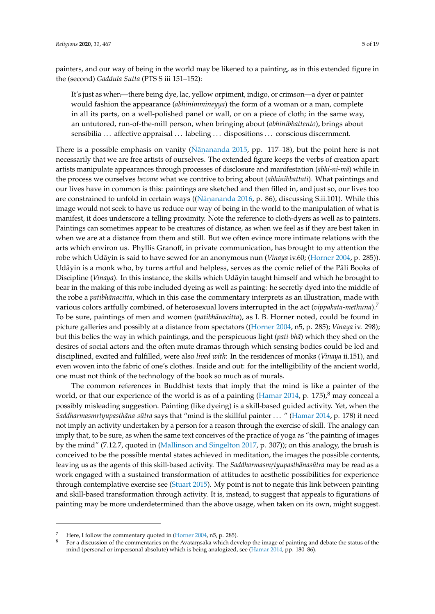painters, and our way of being in the world may be likened to a painting, as in this extended figure in the (second) *Gaddula Sutta* (PTS S iii 151–152):

It's just as when—there being dye, lac, yellow orpiment, indigo, or crimson—a dyer or painter would fashion the appearance (*abhinimmineyya*) the form of a woman or a man, complete in all its parts, on a well-polished panel or wall, or on a piece of cloth; in the same way, an untutored, run-of-the-mill person, when bringing about (*abhinibbattento*), brings about sensibilia ... affective appraisal ... labeling ... dispositions ... conscious discernment.

There is a possible emphasis on vanity ( $\bar{N}$ ān[ananda](#page-17-9) [2015,](#page-17-9) pp. 117–18), but the point here is not necessarily that we are free artists of ourselves. The extended figure keeps the verbs of creation apart: artists manipulate appearances through processes of disclosure and manifestation (*abhi-ni-ma¯*) while in the process we ourselves *become* what we contrive to bring about (*abhinibbattati*). What paintings and our lives have in common is this: paintings are sketched and then filled in, and just so, our lives too are constrained to unfold in certain ways ( $(Nān. 2016, p. 86)$  $(Nān. 2016, p. 86)$  $(Nān. 2016, p. 86)$ , discussing S.ii.101). While this image would not seek to have us reduce our way of being in the world to the manipulation of what is manifest, it does underscore a telling proximity. Note the reference to cloth-dyers as well as to painters. Paintings can sometimes appear to be creatures of distance, as when we feel as if they are best taken in when we are at a distance from them and still. But we often evince more intimate relations with the arts which environ us. Phyllis Granoff, in private communication, has brought to my attention the robe which Udāyin is said to have sewed for an anonymous nun (*Vinaya* iv.60; [\(Horner](#page-16-9) [2004,](#page-16-9) p. 285)). Udāyin is a monk who, by turns artful and helpless, serves as the comic relief of the Pali Books of Discipline (*Vinaya*). In this instance, the skills which Udayin taught himself and which he brought to ¯ bear in the making of this robe included dyeing as well as painting: he secretly dyed into the middle of the robe a *patibhānacitta*, which in this case the commentary interprets as an illustration, made with various colors artfully combined, of heterosexual lovers interrupted in the act (*vippakata-methuna*).<sup>7</sup> To be sure, paintings of men and women *(patibhānacitta)*, as I. B. Horner noted, could be found in picture galleries and possibly at a distance from spectators ([\(Horner](#page-16-9) [2004,](#page-16-9) n5, p. 285); *Vinaya* iv. 298); but this belies the way in which paintings, and the perspicuous light (*pati-bha¯*) which they shed on the desires of social actors and the often mute dramas through which sensing bodies could be led and disciplined, excited and fulfilled, were also *lived with*: In the residences of monks (*Vinaya* ii.151), and even woven into the fabric of one's clothes. Inside and out: for the intelligibility of the ancient world, one must not think of the technology of the book so much as of murals.

The common references in Buddhist texts that imply that the mind is like a painter of the world, or that our experience of the world is as of a painting [\(Hamar](#page-16-10) [2014,](#page-16-10) p. 175),<sup>8</sup> may conceal a possibly misleading suggestion. Painting (like dyeing) is a skill-based guided activity. Yet, when the *Saddharmasmrtyupasthāna-sūtra* says that "mind is the skillful painter ... " [\(Hamar](#page-16-10) [2014,](#page-16-10) p. 178) it need not imply an activity undertaken by a person for a reason through the exercise of skill. The analogy can imply that, to be sure, as when the same text conceives of the practice of yoga as "the painting of images by the mind" (7.12.7, quoted in [\(Mallinson and Singelton](#page-17-11) [2017,](#page-17-11) p. 307)); on this analogy, the brush is conceived to be the possible mental states achieved in meditation, the images the possible contents, leaving us as the agents of this skill-based activity. The *Saddharmasmṛtyupasthānasūtra* may be read as a work engaged with a sustained transformation of attitudes to aesthetic possibilities for experience through contemplative exercise see [\(Stuart](#page-17-12) [2015\)](#page-17-12). My point is not to negate this link between painting and skill-based transformation through activity. It is, instead, to suggest that appeals to figurations of painting may be more underdetermined than the above usage, when taken on its own, might suggest.

<sup>&</sup>lt;sup>7</sup> Here, I follow the commentary quoted in  $(Horner 2004, n5, p. 285)$  $(Horner 2004, n5, p. 285)$  $(Horner 2004, n5, p. 285)$  $(Horner 2004, n5, p. 285)$ .

 $8$  For a discussion of the commentaries on the Avatamsaka which develop the image of painting and debate the status of the mind (personal or impersonal absolute) which is being analogized, see [\(Hamar](#page-16-10) [2014,](#page-16-10) pp. 180–86).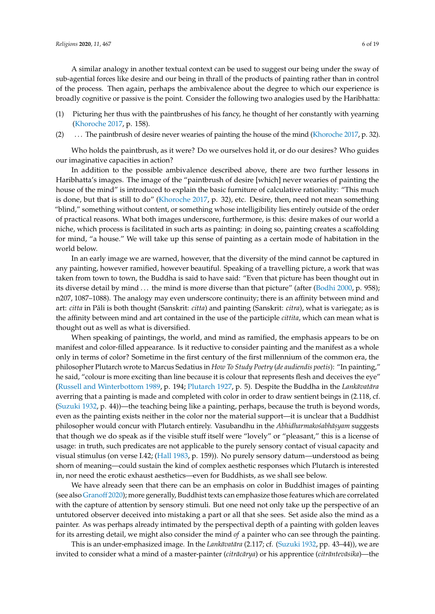A similar analogy in another textual context can be used to suggest our being under the sway of sub-agential forces like desire and our being in thrall of the products of painting rather than in control of the process. Then again, perhaps the ambivalence about the degree to which our experience is broadly cognitive or passive is the point. Consider the following two analogies used by the Haribhatta:

- (1) Picturing her thus with the paintbrushes of his fancy, he thought of her constantly with yearning [\(Khoroche](#page-17-5) [2017,](#page-17-5) p. 158).
- (2) . . . The paintbrush of desire never wearies of painting the house of the mind [\(Khoroche](#page-17-5) [2017,](#page-17-5) p. 32).

Who holds the paintbrush, as it were? Do we ourselves hold it, or do our desires? Who guides our imaginative capacities in action?

In addition to the possible ambivalence described above, there are two further lessons in Haribhatta's images. The image of the "paintbrush of desire [which] never wearies of painting the house of the mind" is introduced to explain the basic furniture of calculative rationality: "This much is done, but that is still to do" [\(Khoroche](#page-17-5) [2017,](#page-17-5) p. 32), etc. Desire, then, need not mean something "blind," something without content, or something whose intelligibility lies entirely outside of the order of practical reasons. What both images underscore, furthermore, is this: desire makes of our world a niche, which process is facilitated in such arts as painting: in doing so, painting creates a scaffolding for mind, "a house." We will take up this sense of painting as a certain mode of habitation in the world below.

In an early image we are warned, however, that the diversity of the mind cannot be captured in any painting, however ramified, however beautiful. Speaking of a travelling picture, a work that was taken from town to town, the Buddha is said to have said: "Even that picture has been thought out in its diverse detail by mind ... the mind is more diverse than that picture" (after [\(Bodhi](#page-16-0) [2000,](#page-16-0) p. 958); n207, 1087–1088). The analogy may even underscore continuity; there is an affinity between mind and art: *citta* in Pāli is both thought (Sanskrit: *citta*) and painting (Sanskrit: *citra*), what is variegate; as is the affinity between mind and art contained in the use of the participle *cittita*, which can mean what is thought out as well as what is diversified.

When speaking of paintings, the world, and mind as ramified, the emphasis appears to be on manifest and color-filled appearance. Is it reductive to consider painting and the manifest as a whole only in terms of color? Sometime in the first century of the first millennium of the common era, the philosopher Plutarch wrote to Marcus Sedatius in *How To Study Poetry* (*de audiendis poetis*): "In painting," he said, "colour is more exciting than line because it is colour that represents flesh and deceives the eye" [\(Russell and Winterbottom](#page-17-13) [1989,](#page-17-13) p. 194; [Plutarch](#page-17-14) [1927,](#page-17-14) p. 5). Despite the Buddha in the *Lankāvatāra* averring that a painting is made and completed with color in order to draw sentient beings in (2.118, cf. [\(Suzuki](#page-17-1) [1932,](#page-17-1) p. 44))—the teaching being like a painting, perhaps, because the truth is beyond words, even as the painting exists neither in the color nor the material support—it is unclear that a Buddhist philosopher would concur with Plutarch entirely. Vasubandhu in the *Abhidharmakośabhāṣyam* suggests that though we do speak as if the visible stuff itself were "lovely" or "pleasant," this is a license of usage: in truth, such predicates are not applicable to the purely sensory contact of visual capacity and visual stimulus (on verse I.42; [\(Hall](#page-16-11) [1983,](#page-16-11) p. 159)). No purely sensory datum—understood as being shorn of meaning—could sustain the kind of complex aesthetic responses which Plutarch is interested in, nor need the erotic exhaust aesthetics—even for Buddhists, as we shall see below.

We have already seen that there can be an emphasis on color in Buddhist images of painting (see also [Grano](#page-16-7)ff [2020\)](#page-16-7); more generally, Buddhist texts can emphasize those features which are correlated with the capture of attention by sensory stimuli. But one need not only take up the perspective of an untutored observer deceived into mistaking a part or all that she sees. Set aside also the mind as a painter. As was perhaps already intimated by the perspectival depth of a painting with golden leaves for its arresting detail, we might also consider the mind *of* a painter who can see through the painting.

This is an under-emphasized image. In the *Lankāvatāra* (2.117; cf. [\(Suzuki](#page-17-1) [1932,](#page-17-1) pp. 43–44)), we are invited to consider what a mind of a master-painter (*citrācārya*) or his apprentice (*citrāntevāsika*)—the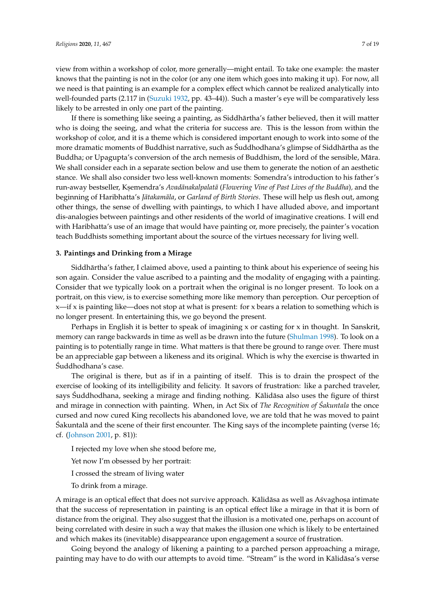view from within a workshop of color, more generally—might entail. To take one example: the master knows that the painting is not in the color (or any one item which goes into making it up). For now, all we need is that painting is an example for a complex effect which cannot be realized analytically into well-founded parts (2.117 in [\(Suzuki](#page-17-1) [1932,](#page-17-1) pp. 43–44)). Such a master's eye will be comparatively less likely to be arrested in only one part of the painting.

If there is something like seeing a painting, as Siddhartha's father believed, then it will matter ¯ who is doing the seeing, and what the criteria for success are. This is the lesson from within the workshop of color, and it is a theme which is considered important enough to work into some of the more dramatic moments of Buddhist narrative, such as Suddhodhana's glimpse of Siddhārtha as the Buddha; or Upagupta's conversion of the arch nemesis of Buddhism, the lord of the sensible, Māra. We shall consider each in a separate section below and use them to generate the notion of an aesthetic stance. We shall also consider two less well-known moments: Somendra's introduction to his father's run-away bestseller, Kṣemendra's *Avadānakalpalatā (Flowering Vine of Past Lives of the Buddha),* and the beginning of Haribhatta's *Jātakamāla*, or *Garland of Birth Stories*. These will help us flesh out, among other things, the sense of dwelling with paintings, to which I have alluded above, and important dis-analogies between paintings and other residents of the world of imaginative creations. I will end with Haribhatta's use of an image that would have painting or, more precisely, the painter's vocation teach Buddhists something important about the source of the virtues necessary for living well.

### **3. Paintings and Drinking from a Mirage**

Siddhartha's father, I claimed above, used a painting to think about his experience of seeing his ¯ son again. Consider the value ascribed to a painting and the modality of engaging with a painting. Consider that we typically look on a portrait when the original is no longer present. To look on a portrait, on this view, is to exercise something more like memory than perception. Our perception of  $x$ —if x is painting like—does not stop at what is present: for x bears a relation to something which is no longer present. In entertaining this, we go beyond the present.

Perhaps in English it is better to speak of imagining x or casting for x in thought. In Sanskrit, memory can range backwards in time as well as be drawn into the future [\(Shulman](#page-17-15) [1998\)](#page-17-15). To look on a painting is to potentially range in time. What matters is that there be ground to range over. There must be an appreciable gap between a likeness and its original. Which is why the exercise is thwarted in Suddhodhana's case. ´

The original is there, but as if in a painting of itself. This is to drain the prospect of the exercise of looking of its intelligibility and felicity. It savors of frustration: like a parched traveler, says Suddhodhana, seeking a mirage and finding nothing. Kalidasa also uses the figure of thirst and mirage in connection with painting. When, in Act Six of *The Recognition of Sakuntala* the once cursed and now cured King recollects his abandoned love, we are told that he was moved to paint Sakuntalā and the scene of their first encounter. The King says of the incomplete painting (verse 16; cf. [\(Johnson](#page-16-12) [2001,](#page-16-12) p. 81)):

I rejected my love when she stood before me,

Yet now I'm obsessed by her portrait:

I crossed the stream of living water

To drink from a mirage.

A mirage is an optical effect that does not survive approach. Kālidāsa as well as Aśvaghoṣa intimate that the success of representation in painting is an optical effect like a mirage in that it is born of distance from the original. They also suggest that the illusion is a motivated one, perhaps on account of being correlated with desire in such a way that makes the illusion one which is likely to be entertained and which makes its (inevitable) disappearance upon engagement a source of frustration.

Going beyond the analogy of likening a painting to a parched person approaching a mirage, painting may have to do with our attempts to avoid time. "Stream" is the word in Kalidasa's verse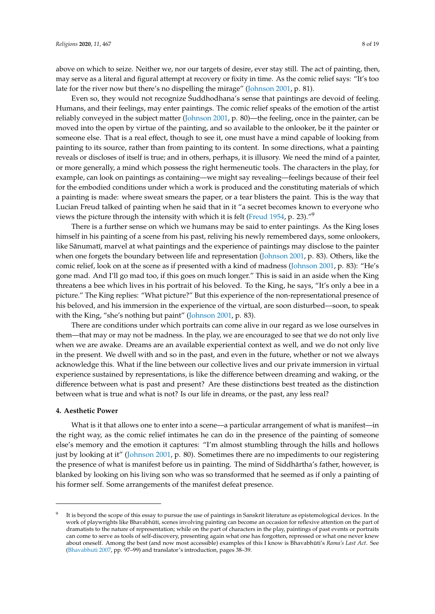above on which to seize. Neither we, nor our targets of desire, ever stay still. The act of painting, then, may serve as a literal and figural attempt at recovery or fixity in time. As the comic relief says: "It's too late for the river now but there's no dispelling the mirage" [\(Johnson](#page-16-12) [2001,](#page-16-12) p. 81).

Even so, they would not recognize Suddhodhana's sense that paintings are devoid of feeling. ´ Humans, and their feelings, may enter paintings. The comic relief speaks of the emotion of the artist reliably conveyed in the subject matter [\(Johnson](#page-16-12) [2001,](#page-16-12) p. 80)—the feeling, once in the painter, can be moved into the open by virtue of the painting, and so available to the onlooker, be it the painter or someone else. That is a real effect, though to see it, one must have a mind capable of looking from painting to its source, rather than from painting to its content. In some directions, what a painting reveals or discloses of itself is true; and in others, perhaps, it is illusory. We need the mind of a painter, or more generally, a mind which possess the right hermeneutic tools. The characters in the play, for example, can look on paintings as containing—we might say revealing—feelings because of their feel for the embodied conditions under which a work is produced and the constituting materials of which a painting is made: where sweat smears the paper, or a tear blisters the paint. This is the way that Lucian Freud talked of painting when he said that in it "a secret becomes known to everyone who views the picture through the intensity with which it is felt [\(Freud](#page-16-13) [1954,](#page-16-13) p. 23)."<sup>9</sup>

There is a further sense on which we humans may be said to enter paintings. As the King loses himself in his painting of a scene from his past, reliving his newly remembered days, some onlookers, like Sānumatī, marvel at what paintings and the experience of paintings may disclose to the painter when one forgets the boundary between life and representation [\(Johnson](#page-16-12) [2001,](#page-16-12) p. 83). Others, like the comic relief, look on at the scene as if presented with a kind of madness [\(Johnson](#page-16-12) [2001,](#page-16-12) p. 83): "He's gone mad. And I'll go mad too, if this goes on much longer." This is said in an aside when the King threatens a bee which lives in his portrait of his beloved. To the King, he says, "It's only a bee in a picture." The King replies: "What picture?" But this experience of the non-representational presence of his beloved, and his immersion in the experience of the virtual, are soon disturbed—soon, to speak with the King, "she's nothing but paint" [\(Johnson](#page-16-12) [2001,](#page-16-12) p. 83).

There are conditions under which portraits can come alive in our regard as we lose ourselves in them—that may or may not be madness. In the play, we are encouraged to see that we do not only live when we are awake. Dreams are an available experiential context as well, and we do not only live in the present. We dwell with and so in the past, and even in the future, whether or not we always acknowledge this. What if the line between our collective lives and our private immersion in virtual experience sustained by representations, is like the difference between dreaming and waking, or the difference between what is past and present? Are these distinctions best treated as the distinction between what is true and what is not? Is our life in dreams, or the past, any less real?

## **4. Aesthetic Power**

What is it that allows one to enter into a scene—a particular arrangement of what is manifest—in the right way, as the comic relief intimates he can do in the presence of the painting of someone else's memory and the emotion it captures: "I'm almost stumbling through the hills and hollows just by looking at it" [\(Johnson](#page-16-12) [2001,](#page-16-12) p. 80). Sometimes there are no impediments to our registering the presence of what is manifest before us in painting. The mind of Siddhartha's father, however, is ¯ blanked by looking on his living son who was so transformed that he seemed as if only a painting of his former self. Some arrangements of the manifest defeat presence.

<sup>9</sup> It is beyond the scope of this essay to pursue the use of paintings in Sanskrit literature as epistemological devices. In the work of playwrights like Bhavabhuti, scenes involving painting can become an occasion for reflexive attention on the part of dramatists to the nature of representation; while on the part of characters in the play, paintings of past events or portraits can come to serve as tools of self-discovery, presenting again what one has forgotten, repressed or what one never knew about oneself. Among the best (and now most accessible) examples of this I know is Bhavabhūti's Rama's Last Act. See [\(Bhavabhuti](#page-16-14) [2007,](#page-16-14) pp. 97–99) and translator's introduction, pages 38–39.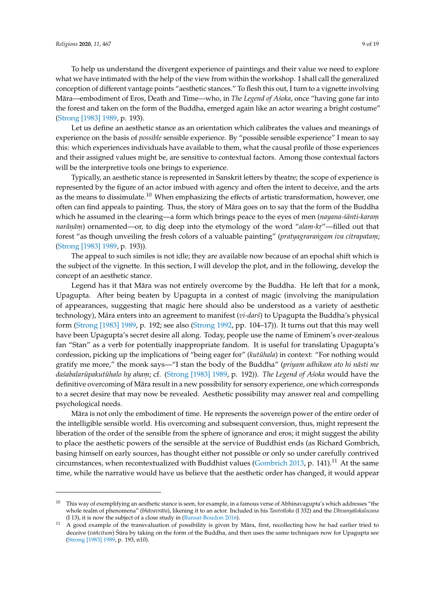To help us understand the divergent experience of paintings and their value we need to explore what we have intimated with the help of the view from within the workshop. I shall call the generalized conception of different vantage points "aesthetic stances." To flesh this out, I turn to a vignette involving Māra—embodiment of Eros, Death and Time—who, in *The Legend of Asoka*, once "having gone far into the forest and taken on the form of the Buddha, emerged again like an actor wearing a bright costume" [\(Strong \[1983\]](#page-17-16) [1989,](#page-17-16) p. 193).

Let us define an aesthetic stance as an orientation which calibrates the values and meanings of experience on the basis of *possible* sensible experience. By "possible sensible experience" I mean to say this: which experiences individuals have available to them, what the causal profile of those experiences and their assigned values might be, are sensitive to contextual factors. Among those contextual factors will be the interpretive tools one brings to experience.

Typically, an aesthetic stance is represented in Sanskrit letters by theatre; the scope of experience is represented by the figure of an actor imbued with agency and often the intent to deceive, and the arts as the means to dissimulate.<sup>10</sup> When emphasizing the effects of artistic transformation, however, one often can find appeals to painting. Thus, the story of Mara goes on to say that the form of the Buddha ¯ which he assumed in the clearing—a form which brings peace to the eyes of men (nayana-śānti-karaṃ *narāṇāṃ*) ornamented—or, to dig deep into the etymology of the word "*alaṃ-kṛ*"—filled out that forest "as though unveiling the fresh colors of a valuable painting" (*pratyagrarangam iva citrapatam*; [\(Strong \[1983\]](#page-17-16) [1989,](#page-17-16) p. 193)).

The appeal to such similes is not idle; they are available now because of an epochal shift which is the subject of the vignette. In this section, I will develop the plot, and in the following, develop the concept of an aesthetic stance.

Legend has it that Māra was not entirely overcome by the Buddha. He left that for a monk, Upagupta. After being beaten by Upagupta in a contest of magic (involving the manipulation of appearances, suggesting that magic here should also be understood as a variety of aesthetic technology), Māra enters into an agreement to manifest (*vi-darš*) to Upagupta the Buddha's physical form [\(Strong](#page-17-16) [1983] [1989,](#page-17-16) p. 192; see also [\(Strong](#page-17-17) [1992,](#page-17-17) pp. 104–17)). It turns out that this may well have been Upagupta's secret desire all along. Today, people use the name of Eminem's over-zealous fan "Stan" as a verb for potentially inappropriate fandom. It is useful for translating Upagupta's confession, picking up the implications of "being eager for" (kutūhala) in context: "For nothing would gratify me more," the monk says—"I stan the body of the Buddha" (*priyam adhikam ato hi nāsti me* daśabalarūpakutūhalo hy ahaṃ; cf. [\(Strong](#page-17-16) [1983] [1989,](#page-17-16) p. 192)). *The Legend of Aśoka would have the* definitive overcoming of Mara result in a new possibility for sensory experience, one which corresponds ¯ to a secret desire that may now be revealed. Aesthetic possibility may answer real and compelling psychological needs.

Māra is not only the embodiment of time. He represents the sovereign power of the entire order of the intelligible sensible world. His overcoming and subsequent conversion, thus, might represent the liberation of the order of the sensible from the sphere of ignorance and eros; it might suggest the ability to place the aesthetic powers of the sensible at the service of Buddhist ends (as Richard Gombrich, basing himself on early sources, has thought either not possible or only so under carefully contrived circumstances, when recontextualized with Buddhist values [\(Gombrich](#page-16-15) [2013,](#page-16-15) p. 141).<sup>11</sup> At the same time, while the narrative would have us believe that the aesthetic order has changed, it would appear

 $10$  This way of exemplifying an aesthetic stance is seen, for example, in a famous verse of Abhinavagupta's which addresses "the whole realm of phenomena" (*bhāvavrāta*), likening it to an actor. Included in his *Tantrāloka* (I 332) and the *Dhvanyālokalocana* (I 13), it is now the subject of a close study in [\(Bansat-Boudon](#page-16-16) [2016\)](#page-16-16).

<sup>11</sup> A good example of the transvaluation of possibility is given by Mara, first, recollecting how he had earlier tried to ¯ deceive (*vañcitum*) Sūra by taking on the form of the Buddha, and then uses the same techniques now for Upagupta see [\(Strong \[1983\]](#page-17-16) [1989,](#page-17-16) p. 193, n10).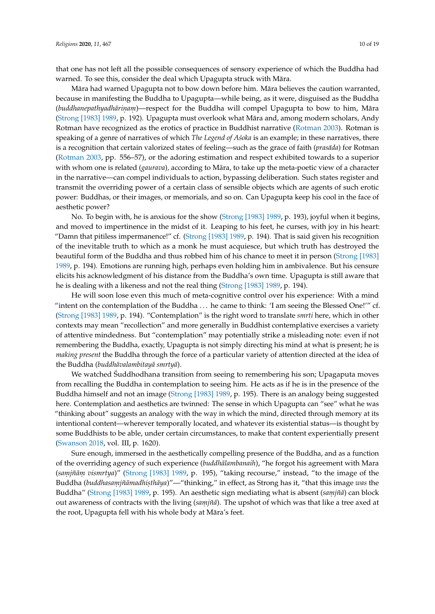that one has not left all the possible consequences of sensory experience of which the Buddha had warned. To see this, consider the deal which Upagupta struck with Mara. ¯

Māra had warned Upagupta not to bow down before him. Māra believes the caution warranted, because in manifesting the Buddha to Upagupta—while being, as it were, disguised as the Buddha (buddhanepathyadhāriṇaṃ)—respect for the Buddha will compel Upagupta to bow to him, Māra [\(Strong](#page-17-16) [1983] [1989,](#page-17-16) p. 192). Upagupta must overlook what Māra and, among modern scholars, Andy Rotman have recognized as the erotics of practice in Buddhist narrative [\(Rotman](#page-17-18) [2003\)](#page-17-18). Rotman is speaking of a genre of narratives of which *The Legend of A´soka* is an example; in these narratives, there is a recognition that certain valorized states of feeling—such as the grace of faith (*prasāda*) for Rotman [\(Rotman](#page-17-18) [2003,](#page-17-18) pp. 556–57), or the adoring estimation and respect exhibited towards to a superior with whom one is related (*gaurava*)*,* according to Mara, to take up the meta-poetic view of a character ¯ in the narrative—can compel individuals to action, bypassing deliberation. Such states register and transmit the overriding power of a certain class of sensible objects which are agents of such erotic power: Buddhas, or their images, or memorials, and so on. Can Upagupta keep his cool in the face of aesthetic power?

No. To begin with, he is anxious for the show [\(Strong](#page-17-16) [1983] [1989,](#page-17-16) p. 193), joyful when it begins, and moved to impertinence in the midst of it. Leaping to his feet, he curses, with joy in his heart: "Damn that pitiless impermanence!" cf. [\(Strong](#page-17-16) [1983] [1989,](#page-17-16) p. 194). That is said given his recognition of the inevitable truth to which as a monk he must acquiesce, but which truth has destroyed the beautiful form of the Buddha and thus robbed him of his chance to meet it in person [\(Strong](#page-17-16) [1983] [1989,](#page-17-16) p. 194). Emotions are running high, perhaps even holding him in ambivalence. But his censure elicits his acknowledgment of his distance from the Buddha's own time. Upagupta is still aware that he is dealing with a likeness and not the real thing [\(Strong \[1983\]](#page-17-16) [1989,](#page-17-16) p. 194).

He will soon lose even this much of meta-cognitive control over his experience: With a mind "intent on the contemplation of the Buddha . . . he came to think: 'I am seeing the Blessed One!'" cf. [\(Strong](#page-17-16) [1983] [1989,](#page-17-16) p. 194). "Contemplation" is the right word to translate *smrti* here, which in other contexts may mean "recollection" and more generally in Buddhist contemplative exercises a variety of attentive mindedness. But "contemplation" may potentially strike a misleading note: even if not remembering the Buddha, exactly, Upagupta is not simply directing his mind at what is present; he is *making present* the Buddha through the force of a particular variety of attention directed at the idea of the Buddha (*buddhāvalambitayā smrtyā*).

We watched Suddhodhana transition from seeing to remembering his son; Upagaputa moves from recalling the Buddha in contemplation to seeing him. He acts as if he is in the presence of the Buddha himself and not an image [\(Strong](#page-17-16) [1983] [1989,](#page-17-16) p. 195). There is an analogy being suggested here. Contemplation and aesthetics are twinned: The sense in which Upagupta can "see" what he was "thinking about" suggests an analogy with the way in which the mind, directed through memory at its intentional content—wherever temporally located, and whatever its existential status—is thought by some Buddhists to be able, under certain circumstances, to make that content experientially present [\(Swanson](#page-17-19) [2018,](#page-17-19) vol. III, p. 1620).

Sure enough, immersed in the aesthetically compelling presence of the Buddha, and as a function of the overriding agency of such experience (*buddhālambanaih*), "he forgot his agreement with Mara (samjñām vismrtya)" [\(Strong](#page-17-16) [1983] [1989,](#page-17-16) p. 195), "taking recourse," instead, "to the image of the Buddha (*buddhasamjñāmadhiṣthāya*)"—"thinking," in effect, as Strong has it, "that this image *was* the Buddha" [\(Strong](#page-17-16) [1983] [1989,](#page-17-16) p. 195). An aesthetic sign mediating what is absent (*saṃjñā*) can block out awareness of contracts with the living (*saṃjñā*). The upshot of which was that like a tree axed at the root, Upagupta fell with his whole body at Māra's feet.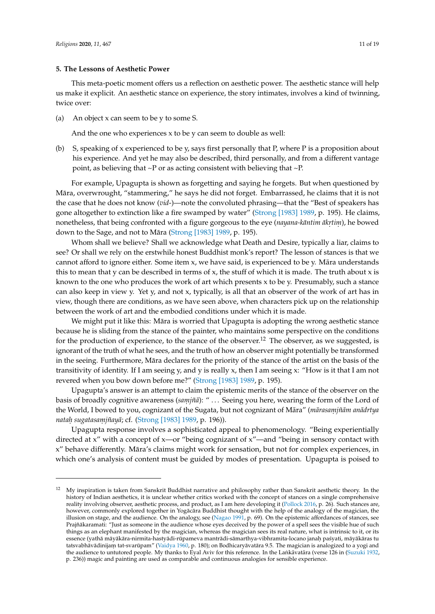#### **5. The Lessons of Aesthetic Power**

This meta-poetic moment offers us a reflection on aesthetic power. The aesthetic stance will help us make it explicit. An aesthetic stance on experience, the story intimates, involves a kind of twinning, twice over:

(a) An object x can seem to be y to some S.

And the one who experiences x to be y can seem to double as well:

(b) S, speaking of x experienced to be y, says first personally that P, where P is a proposition about his experience. And yet he may also be described, third personally, and from a different vantage point, as believing that ~P or as acting consistent with believing that ~P.

For example, Upagupta is shown as forgetting and saying he forgets. But when questioned by Māra, overwrought, "stammering," he says he did not forget. Embarrassed, he claims that it is not the case that he does not know (*vid*-)—note the convoluted phrasing—that the "Best of speakers has gone altogether to extinction like a fire swamped by water" [\(Strong](#page-17-16) [1983] [1989,](#page-17-16) p. 195). He claims, nonetheless, that being confronted with a figure gorgeous to the eye (*nayana-kāntim ākṛtim*), he bowed down to the Sage, and not to Māra ( $\frac{\text{Strong}}{\text{[1983]}}$  [1989,](#page-17-16) p. 195).

Whom shall we believe? Shall we acknowledge what Death and Desire, typically a liar, claims to see? Or shall we rely on the erstwhile honest Buddhist monk's report? The lesson of stances is that we cannot afford to ignore either. Some item x, we have said, is experienced to be y. Mara understands ¯ this to mean that y can be described in terms of  $x$ , the stuff of which it is made. The truth about  $x$  is known to the one who produces the work of art which presents x to be y. Presumably, such a stance can also keep in view y. Yet y, and not x, typically, is all that an observer of the work of art has in view, though there are conditions, as we have seen above, when characters pick up on the relationship between the work of art and the embodied conditions under which it is made.

We might put it like this: Māra is worried that Upagupta is adopting the wrong aesthetic stance because he is sliding from the stance of the painter, who maintains some perspective on the conditions for the production of experience, to the stance of the observer.<sup>12</sup> The observer, as we suggested, is ignorant of the truth of what he sees, and the truth of how an observer might potentially be transformed in the seeing. Furthermore, Māra declares for the priority of the stance of the artist on the basis of the transitivity of identity. If I am seeing y, and y is really x, then I am seeing x: "How is it that I am not revered when you bow down before me?" [\(Strong \[1983\]](#page-17-16) [1989,](#page-17-16) p. 195).

Upagupta's answer is an attempt to claim the epistemic merits of the stance of the observer on the basis of broadly cognitive awareness (*saṃjñā*): " . . . Seeing you here, wearing the form of the Lord of the World, I bowed to you, cognizant of the Sugata, but not cognizant of Mara" ( ¯ *marasa ¯ m. jñam an ¯ adrtya ¯ natah. sugatasam. jñaya¯*; cf. [\(Strong \[1983\]](#page-17-16) [1989,](#page-17-16) p. 196)).

Upagupta response involves a sophisticated appeal to phenomenology. "Being experientially directed at x" with a concept of x—or "being cognizant of x"—and "being in sensory contact with x" behave differently. Mara's claims might work for sensation, but not for complex experiences, in ¯ which one's analysis of content must be guided by modes of presentation. Upagupta is poised to

<sup>12</sup> My inspiration is taken from Sanskrit Buddhist narrative and philosophy rather than Sanskrit aesthetic theory. In the history of Indian aesthetics, it is unclear whether critics worked with the concept of stances on a single comprehensive reality involving observer, aesthetic process, and product, as I am here developing it [\(Pollock](#page-17-20) [2016,](#page-17-20) p. 26). Such stances are, however, commonly explored together in Yogācāra Buddhist thought with the help of the analogy of the magician, the illusion on stage, and the audience. On the analogy, see [\(Nagao](#page-17-21) [1991,](#page-17-21) p. 69). On the epistemic affordances of stances, see Prajñākaramati: "Just as someone in the audience whose eyes deceived by the power of a spell sees the visible hue of such things as an elephant manifested by the magician, whereas the magician sees its real nature, what is intrinsic to it, or its essence (yathā māyākāra-nirmita-hastyādi-rūpameva mantrādi-sāmarthya-vibhramita-locano janaḥ paśyati, māyākāras tu tatsvabhāvādinijam tat-svarūpam" ([Vaidya](#page-17-22) [1960,](#page-17-22) p. 180); on Bodhicaryāvatāra 9.5. The magician is analogized to a yogi and the audience to untutored people. My thanks to Eyal Aviv for this reference. In the Lankāvatāra (verse 126 in ([Suzuki](#page-17-1) [1932,](#page-17-1) p. 236)) magic and painting are used as comparable and continuous analogies for sensible experience.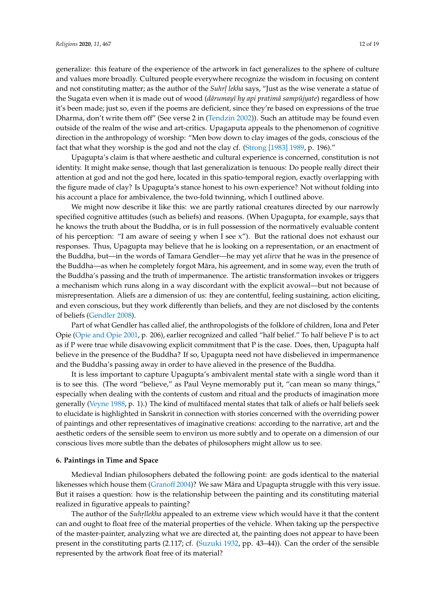generalize: this feature of the experience of the artwork in fact generalizes to the sphere of culture and values more broadly. Cultured people everywhere recognize the wisdom in focusing on content and not constituting matter; as the author of the *Suhrl . lekha* says, "Just as the wise venerate a statue of the Sugata even when it is made out of wood (*dārumayī hy api pratimā sampūjyate*) regardless of how it's been made; just so, even if the poems are deficient, since they're based on expressions of the true Dharma, don't write them off" (See verse 2 in [\(Tendzin](#page-17-23) [2002\)](#page-17-23)). Such an attitude may be found even outside of the realm of the wise and art-critics. Upagaputa appeals to the phenomenon of cognitive direction in the anthropology of worship: "Men bow down to clay images of the gods, conscious of the fact that what they worship is the god and not the clay cf. [\(Strong \[1983\]](#page-17-16) [1989,](#page-17-16) p. 196)."

Upagupta's claim is that where aesthetic and cultural experience is concerned, constitution is not identity. It might make sense, though that last generalization is tenuous: Do people really direct their attention at god and not the god here, located in this spatio-temporal region, exactly overlapping with the figure made of clay? Is Upagupta's stance honest to his own experience? Not without folding into his account a place for ambivalence, the two-fold twinning, which I outlined above.

We might now describe it like this: we are partly rational creatures directed by our narrowly specified cognitive attitudes (such as beliefs) and reasons. (When Upagupta, for example, says that he knows the truth about the Buddha, or is in full possession of the normatively evaluable content of his perception: "I am aware of seeing y when I see x"). But the rational does not exhaust our responses. Thus, Upagupta may believe that he is looking on a representation, or an enactment of the Buddha, but—in the words of Tamara Gendler—he may yet *alieve* that he was in the presence of the Buddha—as when he completely forgot Māra, his agreement, and in some way, even the truth of the Buddha's passing and the truth of impermanence. The artistic transformation invokes or triggers a mechanism which runs along in a way discordant with the explicit avowal—but not because of misrepresentation. Aliefs are a dimension of us: they are contentful, feeling sustaining, action eliciting, and even conscious, but they work differently than beliefs, and they are not disclosed by the contents of beliefs [\(Gendler](#page-16-17) [2008\)](#page-16-17).

Part of what Gendler has called alief, the anthropologists of the folklore of children, Iona and Peter Opie [\(Opie and Opie](#page-17-24) [2001,](#page-17-24) p. 206), earlier recognized and called "half belief." To half believe P is to act as if P were true while disavowing explicit commitment that P is the case. Does, then, Upagupta half believe in the presence of the Buddha? If so, Upagupta need not have disbelieved in impermanence and the Buddha's passing away in order to have alieved in the presence of the Buddha.

It is less important to capture Upagupta's ambivalent mental state with a single word than it is to see this. (The word "believe," as Paul Veyne memorably put it, "can mean so many things," especially when dealing with the contents of custom and ritual and the products of imagination more generally [\(Veyne](#page-18-1) [1988,](#page-18-1) p. 1).) The kind of multifaced mental states that talk of aliefs or half beliefs seek to elucidate is highlighted in Sanskrit in connection with stories concerned with the overriding power of paintings and other representatives of imaginative creations: according to the narrative, art and the aesthetic orders of the sensible seem to environ us more subtly and to operate on a dimension of our conscious lives more subtle than the debates of philosophers might allow us to see.

#### **6. Paintings in Time and Space**

Medieval Indian philosophers debated the following point: are gods identical to the material likenesses which house them [\(Grano](#page-16-6)ff [2004\)](#page-16-6)? We saw Māra and Upagupta struggle with this very issue. But it raises a question: how is the relationship between the painting and its constituting material realized in figurative appeals to painting?

The author of the *Suhrllekha* appealed to an extreme view which would have it that the content can and ought to float free of the material properties of the vehicle. When taking up the perspective of the master-painter, analyzing what we are directed at, the painting does not appear to have been present in the constituting parts (2.117; cf. [\(Suzuki](#page-17-1) [1932,](#page-17-1) pp. 43–44)). Can the order of the sensible represented by the artwork float free of its material?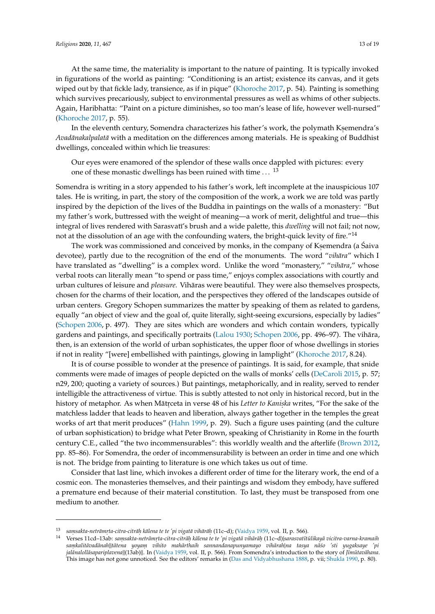At the same time, the materiality is important to the nature of painting. It is typically invoked in figurations of the world as painting: "Conditioning is an artist; existence its canvas, and it gets wiped out by that fickle lady, transience, as if in pique" [\(Khoroche](#page-17-5) [2017,](#page-17-5) p. 54). Painting is something which survives precariously, subject to environmental pressures as well as whims of other subjects. Again, Haribhatta: "Paint on a picture diminishes, so too man's lease of life, however well-nursed" [\(Khoroche](#page-17-5) [2017,](#page-17-5) p. 55).

In the eleventh century, Somendra characterizes his father's work, the polymath Kṣemendra's *Avadānakalpalatā* with a meditation on the differences among materials. He is speaking of Buddhist dwellings, concealed within which lie treasures:

Our eyes were enamored of the splendor of these walls once dappled with pictures: every one of these monastic dwellings has been ruined with time  $\ldots$  <sup>13</sup>

Somendra is writing in a story appended to his father's work, left incomplete at the inauspicious 107 tales. He is writing, in part, the story of the composition of the work, a work we are told was partly inspired by the depiction of the lives of the Buddha in paintings on the walls of a monastery: "But my father's work, buttressed with the weight of meaning—a work of merit, delightful and true—this integral of lives rendered with Sarasvatī's brush and a wide palette, this *dwelling* will not fail; not now, not at the dissolution of an age with the confounding waters, the bright-quick levity of fire."<sup>14</sup>

The work was commissioned and conceived by monks, in the company of Ksemendra (a Śaiva devotee), partly due to the recognition of the end of the monuments. The word "vihara" which I have translated as "dwelling" is a complex word. Unlike the word "monastery," "vihara," whose verbal roots can literally mean "to spend or pass time," enjoys complex associations with courtly and urban cultures of leisure and *pleasure*. Vihāras were beautiful. They were also themselves prospects, chosen for the charms of their location, and the perspectives they offered of the landscapes outside of urban centers. Gregory Schopen summarizes the matter by speaking of them as related to gardens, equally "an object of view and the goal of, quite literally, sight-seeing excursions, especially by ladies" [\(Schopen](#page-17-25) [2006,](#page-17-25) p. 497). They are sites which are wonders and which contain wonders, typically gardens and paintings, and specifically portraits [\(Lalou](#page-17-26) [1930;](#page-17-26) [Schopen](#page-17-25) [2006,](#page-17-25) pp. 496–97). The vihāra, then, is an extension of the world of urban sophisticates, the upper floor of whose dwellings in stories if not in reality "[were] embellished with paintings, glowing in lamplight" [\(Khoroche](#page-17-5) [2017,](#page-17-5) 8.24).

It is of course possible to wonder at the presence of paintings. It is said, for example, that snide comments were made of images of people depicted on the walls of monks' cells [\(DeCaroli](#page-16-4) [2015,](#page-16-4) p. 57; n29, 200; quoting a variety of sources.) But paintings, metaphorically, and in reality, served to render intelligible the attractiveness of virtue. This is subtly attested to not only in historical record, but in the history of metaphor. As when Mātrceta in verse 48 of his *Letter to Kaniska* writes, "For the sake of the matchless ladder that leads to heaven and liberation, always gather together in the temples the great works of art that merit produces" [\(Hahn](#page-16-18) [1999,](#page-16-18) p. 29). Such a figure uses painting (and the culture of urban sophistication) to bridge what Peter Brown, speaking of Christianity in Rome in the fourth century C.E., called "the two incommensurables": this worldly wealth and the afterlife [\(Brown](#page-16-19) [2012,](#page-16-19) pp. 85–86). For Somendra, the order of incommensurability is between an order in time and one which is not. The bridge from painting to literature is one which takes us out of time.

Consider that last line, which invokes a different order of time for the literary work, the end of a cosmic eon. The monasteries themselves, and their paintings and wisdom they embody, have suffered a premature end because of their material constitution. To last, they must be transposed from one medium to another.

<sup>&</sup>lt;sup>13</sup> samsakta-netrāmrta-citra-citrāh kālena te te 'pi vigatā vihārāh (11c–d); [\(Vaidya](#page-17-27) [1959,](#page-17-27) vol. II, p. 566).<br>.

<sup>&</sup>lt;sup>14</sup> Verses 11cd–13ab: samsakta-netrāmrta-citra-citrāh kālena te te 'pi vigatā vihārāh (11c–d)|sarasvatītūlikayā vicitra-varna-kramaih saṃkalitāvadānah||tātena yoyaṃ vihito mahārthaih sannandanapunyamayo vihārah|na tasya nāśo ′sti yugaksaye ′pi *jalānalollāsapariplavena*||(13ab)||. In [\(Vaidya](#page-17-27) [1959,](#page-17-27) vol. II, p. 566). From Somendra's introduction to the story of *Jīmūtavāhana*. This image has not gone unnoticed. See the editors' remarks in [\(Das and Vidyabhushana](#page-16-20) [1888,](#page-16-20) p. vii; [Shukla](#page-17-28) [1990,](#page-17-28) p. 80).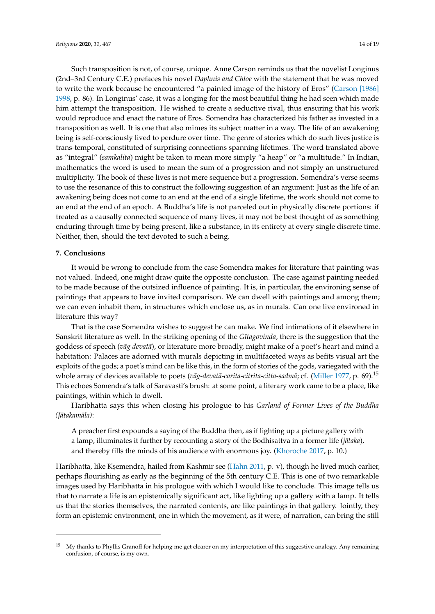Such transposition is not, of course, unique. Anne Carson reminds us that the novelist Longinus (2nd–3rd Century C.E.) prefaces his novel *Daphnis and Chloe* with the statement that he was moved to write the work because he encountered "a painted image of the history of Eros" [\(Carson](#page-16-21) [1986] [1998,](#page-16-21) p. 86). In Longinus' case, it was a longing for the most beautiful thing he had seen which made him attempt the transposition. He wished to create a seductive rival, thus ensuring that his work would reproduce and enact the nature of Eros. Somendra has characterized his father as invested in a transposition as well. It is one that also mimes its subject matter in a way. The life of an awakening being is self-consciously lived to perdure over time. The genre of stories which do such lives justice is trans-temporal, constituted of surprising connections spanning lifetimes. The word translated above as "integral" (*samkalita*) might be taken to mean more simply "a heap" or "a multitude." In Indian, mathematics the word is used to mean the sum of a progression and not simply an unstructured multiplicity. The book of these lives is not mere sequence but a progression. Somendra's verse seems to use the resonance of this to construct the following suggestion of an argument: Just as the life of an awakening being does not come to an end at the end of a single lifetime, the work should not come to an end at the end of an epoch. A Buddha's life is not parceled out in physically discrete portions: if treated as a causally connected sequence of many lives, it may not be best thought of as something enduring through time by being present, like a substance, in its entirety at every single discrete time. Neither, then, should the text devoted to such a being.

#### **7. Conclusions**

It would be wrong to conclude from the case Somendra makes for literature that painting was not valued. Indeed, one might draw quite the opposite conclusion. The case against painting needed to be made because of the outsized influence of painting. It is, in particular, the environing sense of paintings that appears to have invited comparison. We can dwell with paintings and among them; we can even inhabit them, in structures which enclose us, as in murals. Can one live environed in literature this way?

That is the case Somendra wishes to suggest he can make. We find intimations of it elsewhere in Sanskrit literature as well. In the striking opening of the *Gītagovinda*, there is the suggestion that the goddess of speech (*vāg devatā*), or literature more broadly, might make of a poet's heart and mind a habitation: Palaces are adorned with murals depicting in multifaceted ways as befits visual art the exploits of the gods; a poet's mind can be like this, in the form of stories of the gods, variegated with the whole array of devices available to poets (*vāg-devatā-carita-citrita-citta-sadmā*; cf. [\(Miller](#page-17-29) [1977,](#page-17-29) p. 69).<sup>15</sup> This echoes Somendra's talk of Saravastī's brush: at some point, a literary work came to be a place, like paintings, within which to dwell.

Haribhatta says this when closing his prologue to his *Garland of Former Lives of the Buddha (Jatakam ¯ ala) ¯* :

A preacher first expounds a saying of the Buddha then, as if lighting up a picture gallery with a lamp, illuminates it further by recounting a story of the Bodhisattva in a former life (*jātaka*), and thereby fills the minds of his audience with enormous joy. [\(Khoroche](#page-17-5) [2017,](#page-17-5) p. 10.)

Haribhatta, like Kṣemendra, hailed from Kashmir see [\(Hahn](#page-16-22) [2011,](#page-16-22) p. v), though he lived much earlier, perhaps flourishing as early as the beginning of the 5th century C.E. This is one of two remarkable images used by Haribhatta in his prologue with which I would like to conclude. This image tells us that to narrate a life is an epistemically significant act, like lighting up a gallery with a lamp. It tells us that the stories themselves, the narrated contents, are like paintings in that gallery. Jointly, they form an epistemic environment, one in which the movement, as it were, of narration, can bring the still

 $15$  My thanks to Phyllis Granoff for helping me get clearer on my interpretation of this suggestive analogy. Any remaining confusion, of course, is my own.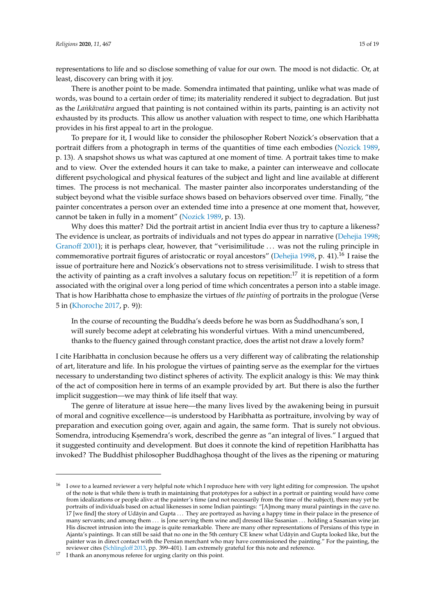representations to life and so disclose something of value for our own. The mood is not didactic. Or, at least, discovery can bring with it joy.

There is another point to be made. Somendra intimated that painting, unlike what was made of words, was bound to a certain order of time; its materiality rendered it subject to degradation. But just as the *Lankāvatāra* argued that painting is not contained within its parts, painting is an activity not exhausted by its products. This allow us another valuation with respect to time, one which Haribhatta provides in his first appeal to art in the prologue.

To prepare for it, I would like to consider the philosopher Robert Nozick's observation that a portrait differs from a photograph in terms of the quantities of time each embodies [\(Nozick](#page-17-30) [1989,](#page-17-30) p. 13). A snapshot shows us what was captured at one moment of time. A portrait takes time to make and to view. Over the extended hours it can take to make, a painter can interweave and collocate different psychological and physical features of the subject and light and line available at different times. The process is not mechanical. The master painter also incorporates understanding of the subject beyond what the visible surface shows based on behaviors observed over time. Finally, "the painter concentrates a person over an extended time into a presence at one moment that, however, cannot be taken in fully in a moment" [\(Nozick](#page-17-30) [1989,](#page-17-30) p. 13).

Why does this matter? Did the portrait artist in ancient India ever thus try to capture a likeness? The evidence is unclear, as portraits of individuals and not types do appear in narrative [\(Dehejia](#page-16-23) [1998;](#page-16-23) [Grano](#page-16-5)ff [2001\)](#page-16-5); it is perhaps clear, however, that "verisimilitude . . . was not the ruling principle in commemorative portrait figures of aristocratic or royal ancestors" [\(Dehejia](#page-16-23) [1998,](#page-16-23) p. 41).<sup>16</sup> I raise the issue of portraiture here and Nozick's observations not to stress verisimilitude. I wish to stress that the activity of painting as a craft involves a salutary focus on repetition: $17$  it is repetition of a form associated with the original over a long period of time which concentrates a person into a stable image. That is how Haribhatta chose to emphasize the virtues of *the painting* of portraits in the prologue (Verse 5 in [\(Khoroche](#page-17-5) [2017,](#page-17-5) p. 9)):

In the course of recounting the Buddha's deeds before he was born as Suddhodhana's son, I will surely become adept at celebrating his wonderful virtues. With a mind unencumbered, thanks to the fluency gained through constant practice, does the artist not draw a lovely form?

I cite Haribhatta in conclusion because he offers us a very different way of calibrating the relationship of art, literature and life. In his prologue the virtues of painting serve as the exemplar for the virtues necessary to understanding two distinct spheres of activity. The explicit analogy is this: We may think of the act of composition here in terms of an example provided by art. But there is also the further implicit suggestion—we may think of life itself that way.

The genre of literature at issue here—the many lives lived by the awakening being in pursuit of moral and cognitive excellence—is understood by Haribhatta as portraiture, involving by way of preparation and execution going over, again and again, the same form. That is surely not obvious. Somendra, introducing Kṣemendra's work, described the genre as "an integral of lives." I argued that it suggested continuity and development. But does it connote the kind of repetition Haribhatta has invoked? The Buddhist philosopher Buddhaghosa thought of the lives as the ripening or maturing

I owe to a learned reviewer a very helpful note which I reproduce here with very light editing for compression. The upshot of the note is that while there is truth in maintaining that prototypes for a subject in a portrait or painting would have come from idealizations or people alive at the painter's time (and not necessarily from the time of the subject), there may yet be portraits of individuals based on actual likenesses in some Indian paintings: "[A]mong many mural paintings in the cave no. 17 [we find] the story of Udāyin and Gupta ... They are portrayed as having a happy time in their palace in the presence of many servants; and among them . . . is [one serving them wine and] dressed like Sasanian . . . holding a Sasanian wine jar. His discreet intrusion into the image is quite remarkable. There are many other representations of Persians of this type in Ajanta's paintings. It can still be said that no one in the 5th century CE knew what Udayin and Gupta looked like, but the painter was in direct contact with the Persian merchant who may have commissioned the painting." For the painting, the reviewer cites [\(Schlinglo](#page-17-31)ff [2013,](#page-17-31) pp. 399–401). I am extremely grateful for this note and reference.

<sup>&</sup>lt;sup>17</sup> I thank an anonymous referee for urging clarity on this point.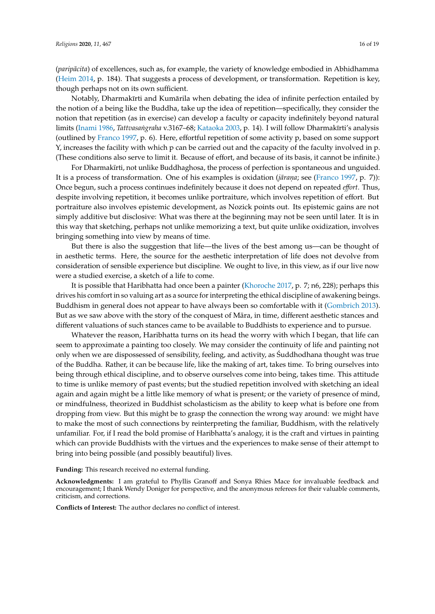(*paripācita*) of excellences, such as, for example, the variety of knowledge embodied in Abhidhamma [\(Heim](#page-16-24) [2014,](#page-16-24) p. 184). That suggests a process of development, or transformation. Repetition is key, though perhaps not on its own sufficient.

Notably, Dharmakīrti and Kumārila when debating the idea of infinite perfection entailed by the notion of a being like the Buddha, take up the idea of repetition—specifically, they consider the notion that repetition (as in exercise) can develop a faculty or capacity indefinitely beyond natural limits [\(Inami](#page-16-25) [1986,](#page-16-25) *Tattvasangraha v*.3167–68; [Kataoka](#page-17-32) [2003,](#page-17-32) p. 14). I will follow Dharmakīrti's analysis (outlined by [Franco](#page-16-26) [1997,](#page-16-26) p. 6). Here, effortful repetition of some activity p, based on some support Y, increases the facility with which p can be carried out and the capacity of the faculty involved in p. (These conditions also serve to limit it. Because of effort, and because of its basis, it cannot be infinite.)

For Dharmakīrti, not unlike Buddhaghosa, the process of perfection is spontaneous and unguided. It is a process of transformation. One of his examples is oxidation (*jāraṇa*; see [\(Franco](#page-16-26) [1997,](#page-16-26) p. 7)): Once begun, such a process continues indefinitely because it does not depend on repeated *e*ff*ort*. Thus, despite involving repetition, it becomes unlike portraiture, which involves repetition of effort. But portraiture also involves epistemic development, as Nozick points out. Its epistemic gains are not simply additive but disclosive: What was there at the beginning may not be seen until later. It is in this way that sketching, perhaps not unlike memorizing a text, but quite unlike oxidization, involves bringing something into view by means of time.

But there is also the suggestion that life—the lives of the best among us—can be thought of in aesthetic terms. Here, the source for the aesthetic interpretation of life does not devolve from consideration of sensible experience but discipline. We ought to live, in this view, as if our live now were a studied exercise, a sketch of a life to come.

It is possible that Haribhatta had once been a painter [\(Khoroche](#page-17-5) [2017,](#page-17-5) p. 7; n6, 228); perhaps this drives his comfort in so valuing art as a source for interpreting the ethical discipline of awakening beings. Buddhism in general does not appear to have always been so comfortable with it [\(Gombrich](#page-16-15) [2013\)](#page-16-15). But as we saw above with the story of the conquest of Mara, in time, different aesthetic stances and different valuations of such stances came to be available to Buddhists to experience and to pursue.

Whatever the reason, Haribhatta turns on its head the worry with which I began, that life can seem to approximate a painting too closely. We may consider the continuity of life and painting not only when we are dispossessed of sensibility, feeling, and activity, as Suddhodhana thought was true of the Buddha. Rather, it can be because life, like the making of art, takes time. To bring ourselves into being through ethical discipline, and to observe ourselves come into being, takes time. This attitude to time is unlike memory of past events; but the studied repetition involved with sketching an ideal again and again might be a little like memory of what is present; or the variety of presence of mind, or mindfulness, theorized in Buddhist scholasticism as the ability to keep what is before one from dropping from view. But this might be to grasp the connection the wrong way around: we might have to make the most of such connections by reinterpreting the familiar, Buddhism, with the relatively unfamiliar. For, if I read the bold promise of Haribhatta's analogy, it is the craft and virtues in painting which can provide Buddhists with the virtues and the experiences to make sense of their attempt to bring into being possible (and possibly beautiful) lives.

**Funding:** This research received no external funding.

**Acknowledgments:** I am grateful to Phyllis Granoff and Sonya Rhies Mace for invaluable feedback and encouragement; I thank Wendy Doniger for perspective, and the anonymous referees for their valuable comments, criticism, and corrections.

**Conflicts of Interest:** The author declares no conflict of interest.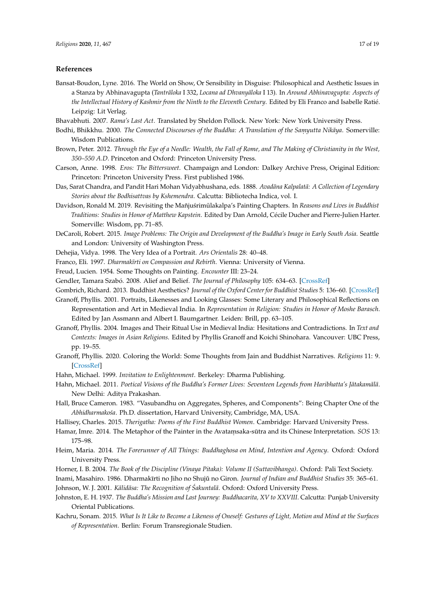### **References**

<span id="page-16-16"></span>Bansat-Boudon, Lyne. 2016. The World on Show, Or Sensibility in Disguise: Philosophical and Aesthetic Issues in a Stanza by Abhinavagupta (*Tantraloka ¯* I 332, *Locana ad Dhvanyaloka ¯* I 13). In *Around Abhinavagupta: Aspects of the Intellectual History of Kashmir from the Ninth to the Eleventh Century*. Edited by Eli Franco and Isabelle Ratié. Leipzig: Lit Verlag.

<span id="page-16-14"></span>Bhavabhuti. 2007. *Rama's Last Act*. Translated by Sheldon Pollock. New York: New York University Press.

- <span id="page-16-0"></span>Bodhi, Bhikkhu. 2000. *The Connected Discourses of the Buddha: A Translation of the Samyutta Nikāya*. Somerville: Wisdom Publications.
- <span id="page-16-19"></span>Brown, Peter. 2012. *Through the Eye of a Needle: Wealth, the Fall of Rome, and The Making of Christianity in the West, 350–550 A.D*. Princeton and Oxford: Princeton University Press.
- <span id="page-16-21"></span>Carson, Anne. 1998. *Eros: The Bittersweet*. Champaign and London: Dalkey Archive Press, Original Edition: Princeton: Princeton University Press. First published 1986.
- <span id="page-16-20"></span>Das, Sarat Chandra, and Pandit Hari Mohan Vidyabhushana, eds. 1888. *Avadana Kalpalat ¯ a: A Collection of Legendary ¯ Stories about the Bodhisattvas by Kshemendra*. Calcutta: Bibliotecha Indica, vol. I.
- <span id="page-16-3"></span>Davidson, Ronald M. 2019. Revisiting the Mañjuśrimūlakalpa's Painting Chapters. In Reasons and Lives in Buddhist *Traditions: Studies in Honor of Matthew Kapstein*. Edited by Dan Arnold, Cécile Ducher and Pierre-Julien Harter. Somerville: Wisdom, pp. 71–85.
- <span id="page-16-4"></span>DeCaroli, Robert. 2015. *Image Problems: The Origin and Development of the Buddha's Image in Early South Asia*. Seattle and London: University of Washington Press.
- <span id="page-16-23"></span>Dehejia, Vidya. 1998. The Very Idea of a Portrait. *Ars Orientalis* 28: 40–48.
- <span id="page-16-26"></span>Franco, Eli. 1997. *Dharmakīrti on Compassion and Rebirth*. Vienna: University of Vienna.
- <span id="page-16-17"></span><span id="page-16-13"></span>Freud, Lucien. 1954. Some Thoughts on Painting. *Encounter* III: 23–24.
- Gendler, Tamara Szabó. 2008. Alief and Belief. *The Journal of Philosophy* 105: 634–63. [\[CrossRef\]](http://dx.doi.org/10.5840/jphil20081051025)
- <span id="page-16-15"></span>Gombrich, Richard. 2013. Buddhist Aesthetics? *Journal of the Oxford Center for Buddhist Studies* 5: 136–60. [\[CrossRef\]](http://dx.doi.org/10.1558/rosa.v8i1.83)
- <span id="page-16-5"></span>Granoff, Phyllis. 2001. Portraits, Likenesses and Looking Glasses: Some Literary and Philosophical Reflections on Representation and Art in Medieval India. In *Representation in Religion: Studies in Honor of Moshe Barasch*. Edited by Jan Assmann and Albert I. Baumgartner. Leiden: Brill, pp. 63–105.
- <span id="page-16-6"></span>Granoff, Phyllis. 2004. Images and Their Ritual Use in Medieval India: Hesitations and Contradictions. In *Text and Contexts: Images in Asian Religions*. Edited by Phyllis Granoff and Koichi Shinohara. Vancouver: UBC Press, pp. 19–55.
- <span id="page-16-7"></span>Granoff, Phyllis. 2020. Coloring the World: Some Thoughts from Jain and Buddhist Narratives. *Religions* 11: 9. [\[CrossRef\]](http://dx.doi.org/10.3390/rel11010009)
- <span id="page-16-22"></span><span id="page-16-18"></span>Hahn, Michael. 1999. *Invitation to Enlightenment*. Berkeley: Dharma Publishing.
- Hahn, Michael. 2011. Poetical Visions of the Buddha's Former Lives: Seventeen Legends from Haribhatta's Jātakamālā. New Delhi: Aditya Prakashan.
- <span id="page-16-11"></span>Hall, Bruce Cameron. 1983. "Vasubandhu on Aggregates, Spheres, and Components": Being Chapter One of the *Abhidharmako´sa*. Ph.D. dissertation, Harvard University, Cambridge, MA, USA.
- <span id="page-16-10"></span><span id="page-16-1"></span>Hallisey, Charles. 2015. *Therigatha: Poems of the First Buddhist Women*. Cambridge: Harvard University Press.
- Hamar, Imre. 2014. The Metaphor of the Painter in the Avataṃsaka-sūtra and its Chinese Interpretation. *SOS* 13: 175–98.
- <span id="page-16-24"></span>Heim, Maria. 2014. *The Forerunner of All Things: Buddhaghosa on Mind, Intention and Agency*. Oxford: Oxford University Press.
- <span id="page-16-9"></span>Horner, I. B. 2004. *The Book of the Discipline (Vinaya Pitaka): Volume II (Suttavibhanga)*. Oxford: Pali Text Society.
- <span id="page-16-25"></span><span id="page-16-12"></span>Inami, Masahiro. 1986. Dharmakīrti no Jiho no Shujǔ no Giron. Journal of Indian and Buddhist Studies 35: 365–61. Johnson, W. J. 2001. *Kālidāsa: The Recognition of Śakuntalā*. Oxford: Oxford University Press.
- <span id="page-16-2"></span>Johnston, E. H. 1937. *The Buddha's Mission and Last Journey: Buddhacarita, XV to XXVIII*. Calcutta: Punjab University Oriental Publications.
- <span id="page-16-8"></span>Kachru, Sonam. 2015. *What Is It Like to Become a Likeness of Oneself: Gestures of Light, Motion and Mind at the Surfaces of Representation*. Berlin: Forum Transregionale Studien.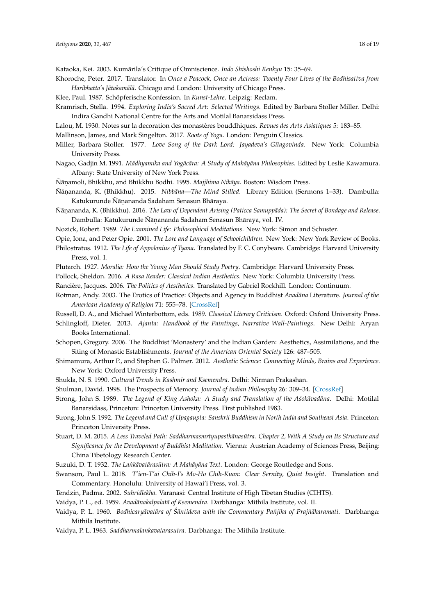<span id="page-17-32"></span>Kataoka, Kei. 2003. Kumārila's Critique of Omniscience. *Indo Shishoshi Kenkyu* 15: 35-69.

- <span id="page-17-5"></span>Khoroche, Peter. 2017. Translator. In *Once a Peacock, Once an Actress: Twenty Four Lives of the Bodhisattva from Haribhatta's Jātakamālā*. Chicago and London: University of Chicago Press.
- <span id="page-17-8"></span>Klee, Paul. 1987. Schöpferische Konfession. In *Kunst-Lehre*. Leipzig: Reclam.
- <span id="page-17-7"></span>Kramrisch, Stella. 1994. *Exploring India's Sacred Art: Selected Writings*. Edited by Barbara Stoller Miller. Delhi: Indira Gandhi National Centre for the Arts and Motilal Banarsidass Press.
- <span id="page-17-26"></span>Lalou, M. 1930. Notes sur la decoration des monastères bouddhiques. *Revues des Arts Asiatiques* 5: 183–85.

<span id="page-17-29"></span><span id="page-17-11"></span>Mallinson, James, and Mark Singelton. 2017. *Roots of Yoga*. London: Penguin Classics.

- Miller, Barbara Stoller. 1977. Love Song of the Dark Lord: *Jayadeva's Gītagovinda*. New York: Columbia University Press.
- <span id="page-17-21"></span>Nagao, Gadjin M. 1991. *Mādhyamika and Yogācāra: A Study of Mahāyāna Philosophies*. Edited by Leslie Kawamura. Albany: State University of New York Press.
- <span id="page-17-0"></span>Nāṇamoli*,* Bhikkhu, and Bhikkhu Bodhi. 1995. *Majjhima Nikāya*. Boston: Wisdom Press.
- <span id="page-17-9"></span>Ñānananda, K. (Bhikkhu). 2015. *Nibbāna—The Mind Stilled*. Library Edition (Sermons 1–33). Dambulla: Katukurunde Nāṇananda Sadaham Senasun Bhāraya.
- <span id="page-17-10"></span>Ñānananda, K. (Bhikkhu). 2016. *The Law of Dependent Arising (Paticca Samuppāda): The Secret of Bondage and Release*. Dambulla: Katukurunde Nāṇananda Sadaham Senasun Bhāraya, vol. IV.
- <span id="page-17-30"></span>Nozick, Robert. 1989. *The Examined Life: Philosophical Meditations*. New York: Simon and Schuster.
- <span id="page-17-24"></span><span id="page-17-2"></span>Opie, Iona, and Peter Opie. 2001. *The Lore and Language of Schoolchildren*. New York: New York Review of Books. Philostratus. 1912. *The Life of Appolonius of Tyana*. Translated by F. C. Conybeare. Cambridge: Harvard University
- Press, vol. I.
- <span id="page-17-14"></span>Plutarch. 1927. *Moralia: How the Young Man Should Study Poetry*. Cambridge: Harvard University Press.
- <span id="page-17-20"></span>Pollock, Sheldon. 2016. *A Rasa Reader: Classical Indian Aesthetics*. New York: Columbia University Press.
- <span id="page-17-4"></span>Rancière, Jacques. 2006. *The Politics of Aesthetics*. Translated by Gabriel Rockhill. London: Continuum.
- <span id="page-17-18"></span>Rotman, Andy. 2003. The Erotics of Practice: Objects and Agency in Buddhist *Avadāna* Literature. *Journal of the American Academy of Religion* 71: 555–78. [\[CrossRef\]](http://dx.doi.org/10.1093/jaarel/lfg077)

<span id="page-17-13"></span>Russell, D. A., and Michael Winterbottom, eds. 1989. *Classical Literary Criticism*. Oxford: Oxford University Press.

- <span id="page-17-31"></span>Schlingloff, Dieter. 2013. *Ajanta: Handbook of the Paintings, Narrative Wall-Paintings*. New Delhi: Aryan Books International.
- <span id="page-17-25"></span>Schopen, Gregory. 2006. The Buddhist 'Monastery' and the Indian Garden: Aesthetics, Assimilations, and the Siting of Monastic Establishments. *Journal of the American Oriental Society* 126: 487–505.
- <span id="page-17-3"></span>Shimamura, Arthur P., and Stephen G. Palmer. 2012. *Aesthetic Science: Connecting Minds, Brains and Experience*. New York: Oxford University Press.
- <span id="page-17-28"></span>Shukla, N. S. 1990. *Cultural Trends in Kashmir and Ksemendra*. Delhi: Nirman Prakashan.
- <span id="page-17-15"></span>Shulman, David. 1998. The Prospects of Memory. *Journal of Indian Philosophy* 26: 309–34. [\[CrossRef\]](http://dx.doi.org/10.1023/A:1004338308796)
- <span id="page-17-16"></span>Strong, John S. 1989. *The Legend of King Ashoka: A Study and Translation of the Asokavadana.* Delhi: Motilal Banarsidass, Princeton: Princeton University Press. First published 1983.
- <span id="page-17-17"></span>Strong, John S. 1992. *The Legend and Cult of Upagaupta: Sanskrit Buddhism in North India and Southeast Asia*. Princeton: Princeton University Press.
- <span id="page-17-12"></span>Stuart, D. M. 2015. *A Less Traveled Path: Saddharmasmrtyupasthānasūtra. Chapter 2, With A Study on Its Structure and Significance for the Development of Buddhist Meditation*. Vienna: Austrian Academy of Sciences Press, Beijing: China Tibetology Research Center.
- <span id="page-17-19"></span><span id="page-17-1"></span>Suzuki, D. T. 1932. *The Lank˙ avat ¯ aras ¯ utra: A Mah ¯ ay¯ ana Text ¯* . London: George Routledge and Sons.
- Swanson, Paul L. 2018. *T'ien-T'ai Chih-I's Mo-Ho Chih-Kuan: Clear Sernity, Quiet Insight*. Translation and Commentary. Honolulu: University of Hawai'i Press, vol. 3.
- <span id="page-17-27"></span><span id="page-17-23"></span>Tendzin, Padma. 2002. *Suhridlekha*. Varanasi: Central Institute of High Tibetan Studies (CIHTS).
- Vaidya, P. L., ed. 1959. *Avadanakalpalat ¯ a of Ksemendra ¯* . Darbhanga: Mithila Institute, vol. II.
- <span id="page-17-22"></span>Vaidya, P. L. 1960. *Bodhicaryavat ¯ ara of ¯ S´antideva with the Commentary Pañjika of Prajñ ¯ akaramati ¯* . Darbhanga: Mithila Institute.
- <span id="page-17-6"></span>Vaidya, P. L. 1963. *Saddharmalankavatarasutra*. Darbhanga: The Mithila Institute.